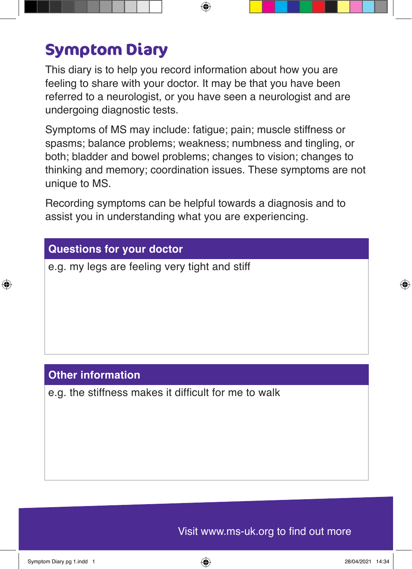## **Symptom Diary**

This diary is to help you record information about how you are feeling to share with your doctor. It may be that you have been referred to a neurologist, or you have seen a neurologist and are undergoing diagnostic tests.

Symptoms of MS may include: fatigue; pain; muscle stiffness or spasms; balance problems; weakness; numbness and tingling, or both; bladder and bowel problems; changes to vision; changes to thinking and memory; coordination issues. These symptoms are not unique to MS.

Recording symptoms can be helpful towards a diagnosis and to assist you in understanding what you are experiencing.

## **Questions for your doctor**

e.g. my legs are feeling very tight and stiff

## **Other information**

e.g. the stiffness makes it difficult for me to walk

Visit www.ms-uk.org to find out more